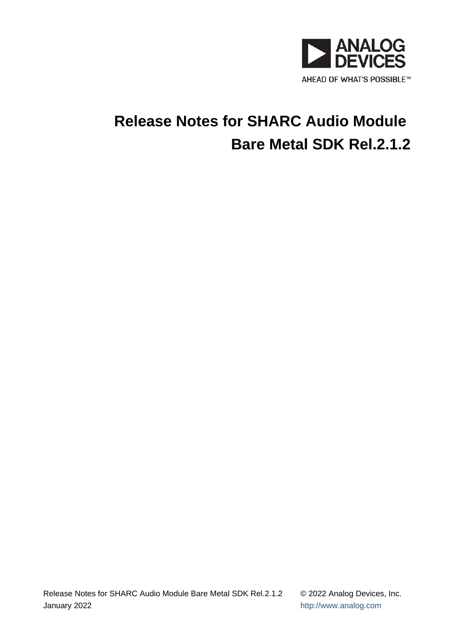

# **Release Notes for SHARC Audio Module Bare Metal SDK Rel.2.1.2**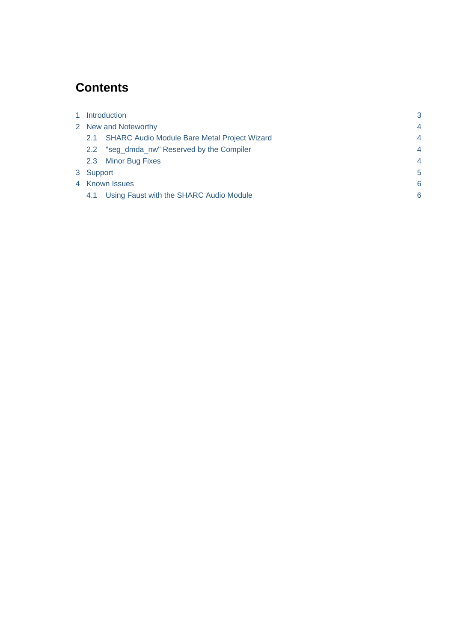# **Contents**

| 1 | Introduction         |                                                     | 3              |
|---|----------------------|-----------------------------------------------------|----------------|
|   | 2 New and Noteworthy |                                                     | $\overline{4}$ |
|   | 2.1                  | <b>SHARC Audio Module Bare Metal Project Wizard</b> | $\overline{4}$ |
|   | 2.2                  | "seg_dmda_nw" Reserved by the Compiler              | $\overline{4}$ |
|   | 2.3                  | <b>Minor Bug Fixes</b>                              | $\overline{4}$ |
|   | 3 Support            |                                                     | 5              |
|   | 4 Known Issues       |                                                     | 6              |
|   | 4.1                  | Using Faust with the SHARC Audio Module             | 6              |
|   |                      |                                                     |                |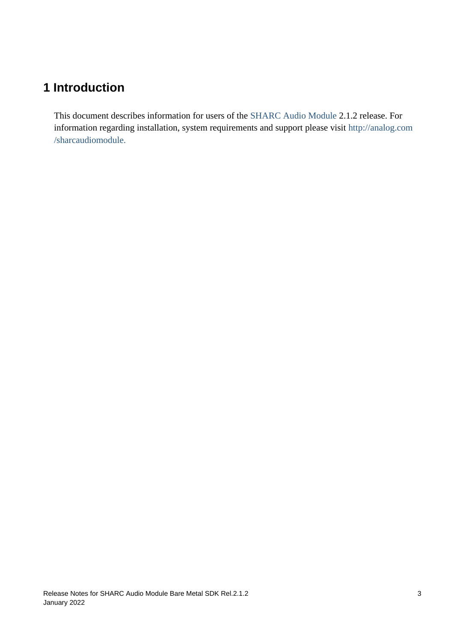# <span id="page-2-0"></span>**1 Introduction**

This document describes information for users of the [SHARC Audio Module](http://analog.com/sharcaudiomodule) 2.1.2 release. For information regarding installation, system requirements and support please visit [http://analog.com](http://analog.com/sharcaudiomodule) [/sharcaudiomodule.](http://analog.com/sharcaudiomodule)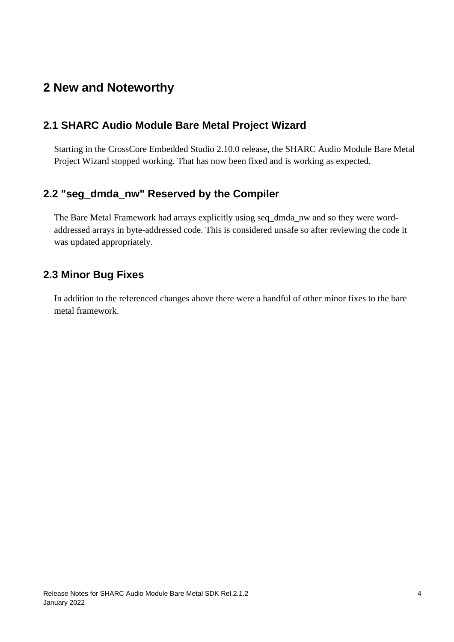### <span id="page-3-0"></span>**2 New and Noteworthy**

#### <span id="page-3-1"></span>**2.1 SHARC Audio Module Bare Metal Project Wizard**

Starting in the CrossCore Embedded Studio 2.10.0 release, the SHARC Audio Module Bare Metal Project Wizard stopped working. That has now been fixed and is working as expected.

#### <span id="page-3-2"></span>**2.2 "seg\_dmda\_nw" Reserved by the Compiler**

The Bare Metal Framework had arrays explicitly using seq\_dmda\_nw and so they were wordaddressed arrays in byte-addressed code. This is considered unsafe so after reviewing the code it was updated appropriately.

#### <span id="page-3-3"></span>**2.3 Minor Bug Fixes**

In addition to the referenced changes above there were a handful of other minor fixes to the bare metal framework.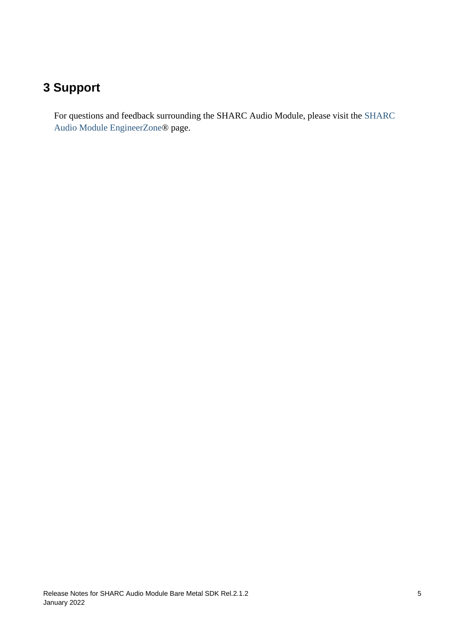## <span id="page-4-0"></span>**3 Support**

For questions and feedback surrounding the SHARC Audio Module, please visit the [SHARC](https://ez.analog.com/samboard)  [Audio Module EngineerZone](https://ez.analog.com/samboard)® page.